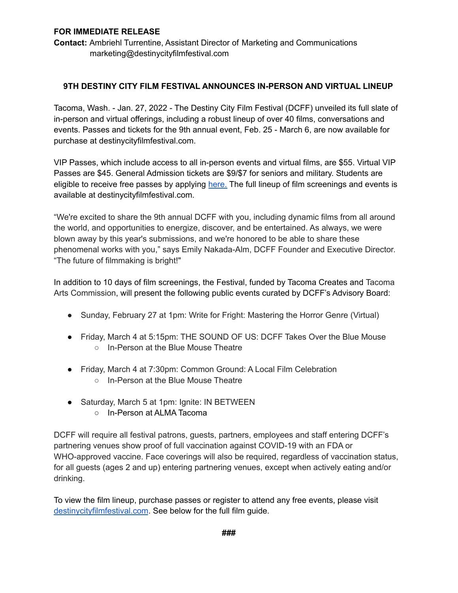### **FOR IMMEDIATE RELEASE**

**Contact:** Ambriehl Turrentine, Assistant Director of Marketing and Communications marketing@destinycityfilmfestival.com

### **9TH DESTINY CITY FILM FESTIVAL ANNOUNCES IN-PERSON AND VIRTUAL LINEUP**

Tacoma, Wash. - Jan. 27, 2022 - The Destiny City Film Festival (DCFF) unveiled its full slate of in-person and virtual offerings, including a robust lineup of over 40 films, conversations and events. Passes and tickets for the 9th annual event, Feb. 25 - March 6, are now available for purchase at destinycityfilmfestival.com.

VIP Passes, which include access to all in-person events and virtual films, are \$55. Virtual VIP Passes are \$45. General Admission tickets are \$9/\$7 for seniors and military. Students are eligible to receive free passes by applying [here.](https://docs.google.com/forms/d/e/1FAIpQLSeIDbCVzGUfr8H1l9PI0hyfF4kI1SVBVFt0ca5d-8n01C6-1Q/viewform) The full lineup of film screenings and events is available at destinycityfilmfestival.com.

"We're excited to share the 9th annual DCFF with you, including dynamic films from all around the world, and opportunities to energize, discover, and be entertained. As always, we were blown away by this year's submissions, and we're honored to be able to share these phenomenal works with you," says Emily Nakada-Alm, DCFF Founder and Executive Director. "The future of filmmaking is bright!"

In addition to 10 days of film screenings, the Festival, funded by Tacoma Creates and Tacoma Arts Commission, will present the following public events curated by DCFF's Advisory Board:

- Sunday, February 27 at 1pm: Write for Fright: Mastering the Horror Genre (Virtual)
- Friday, March 4 at 5:15pm: THE SOUND OF US: DCFF Takes Over the Blue Mouse ○ In-Person at the Blue Mouse Theatre
- Friday, March 4 at 7:30pm: Common Ground: A Local Film Celebration
	- In-Person at the Blue Mouse Theatre
- Saturday, March 5 at 1pm: Ignite: IN BETWEEN
	- In-Person at ALMA Tacoma

DCFF will require all festival patrons, guests, partners, employees and staff entering DCFF's partnering venues show proof of full vaccination against COVID-19 with an FDA or WHO-approved vaccine. Face coverings will also be required, regardless of vaccination status, for all guests (ages 2 and up) entering partnering venues, except when actively eating and/or drinking.

To view the film lineup, purchase passes or register to attend any free events, please visit [destinycityfilmfestival.com](https://www.destinycityfilmfestival.com/). See below for the full film guide.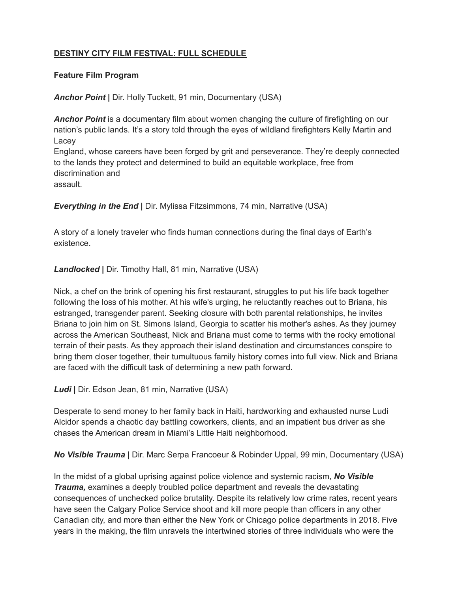# **DESTINY CITY FILM FESTIVAL: FULL SCHEDULE**

#### **Feature Film Program**

*Anchor Point* **|** Dir. Holly Tuckett, 91 min, Documentary (USA)

*Anchor Point* is a documentary film about women changing the culture of firefighting on our nation's public lands. It's a story told through the eyes of wildland firefighters Kelly Martin and Lacey England, whose careers have been forged by grit and perseverance. They're deeply connected to the lands they protect and determined to build an equitable workplace, free from discrimination and assault.

*Everything in the End* **|** Dir. Mylissa Fitzsimmons, 74 min, Narrative (USA)

A story of a lonely traveler who finds human connections during the final days of Earth's existence.

*Landlocked* **|** Dir. Timothy Hall, 81 min, Narrative (USA)

Nick, a chef on the brink of opening his first restaurant, struggles to put his life back together following the loss of his mother. At his wife's urging, he reluctantly reaches out to Briana, his estranged, transgender parent. Seeking closure with both parental relationships, he invites Briana to join him on St. Simons Island, Georgia to scatter his mother's ashes. As they journey across the American Southeast, Nick and Briana must come to terms with the rocky emotional terrain of their pasts. As they approach their island destination and circumstances conspire to bring them closer together, their tumultuous family history comes into full view. Nick and Briana are faced with the difficult task of determining a new path forward.

*Ludi* **|** Dir. Edson Jean, 81 min, Narrative (USA)

Desperate to send money to her family back in Haiti, hardworking and exhausted nurse Ludi Alcidor spends a chaotic day battling coworkers, clients, and an impatient bus driver as she chases the American dream in Miami's Little Haiti neighborhood.

*No Visible Trauma* **|** Dir. Marc Serpa Francoeur & Robinder Uppal, 99 min, Documentary (USA)

In the midst of a global uprising against police violence and systemic racism, *No Visible Trauma,* examines a deeply troubled police department and reveals the devastating consequences of unchecked police brutality. Despite its relatively low crime rates, recent years have seen the Calgary Police Service shoot and kill more people than officers in any other Canadian city, and more than either the New York or Chicago police departments in 2018. Five years in the making, the film unravels the intertwined stories of three individuals who were the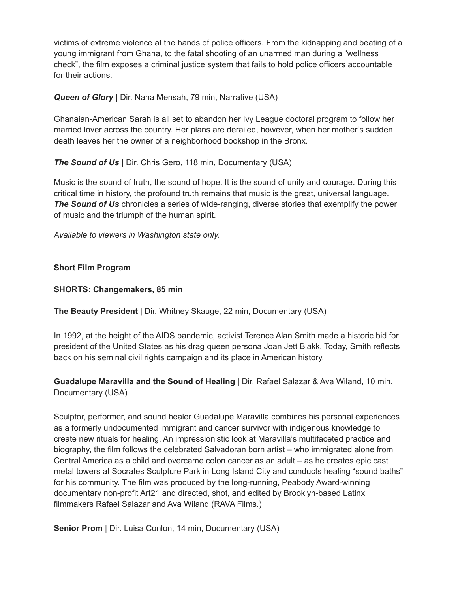victims of extreme violence at the hands of police officers. From the kidnapping and beating of a young immigrant from Ghana, to the fatal shooting of an unarmed man during a "wellness check", the film exposes a criminal justice system that fails to hold police officers accountable for their actions.

## *Queen of Glory* **|** Dir. Nana Mensah, 79 min, Narrative (USA)

Ghanaian-American Sarah is all set to abandon her Ivy League doctoral program to follow her married lover across the country. Her plans are derailed, however, when her mother's sudden death leaves her the owner of a neighborhood bookshop in the Bronx.

*The Sound of Us* **|** Dir. Chris Gero, 118 min, Documentary (USA)

Music is the sound of truth, the sound of hope. It is the sound of unity and courage. During this critical time in history, the profound truth remains that music is the great, universal language. *The Sound of Us* chronicles a series of wide-ranging, diverse stories that exemplify the power of music and the triumph of the human spirit.

*Available to viewers in Washington state only.*

## **Short Film Program**

### **SHORTS: Changemakers, 85 min**

**The Beauty President** | Dir. Whitney Skauge, 22 min, Documentary (USA)

In 1992, at the height of the AIDS pandemic, activist Terence Alan Smith made a historic bid for president of the United States as his drag queen persona Joan Jett Blakk. Today, Smith reflects back on his seminal civil rights campaign and its place in American history.

**Guadalupe Maravilla and the Sound of Healing** | Dir. Rafael Salazar & Ava Wiland, 10 min, Documentary (USA)

Sculptor, performer, and sound healer Guadalupe Maravilla combines his personal experiences as a formerly undocumented immigrant and cancer survivor with indigenous knowledge to create new rituals for healing. An impressionistic look at Maravilla's multifaceted practice and biography, the film follows the celebrated Salvadoran born artist – who immigrated alone from Central America as a child and overcame colon cancer as an adult – as he creates epic cast metal towers at Socrates Sculpture Park in Long Island City and conducts healing "sound baths" for his community. The film was produced by the long-running, Peabody Award-winning documentary non-profit Art21 and directed, shot, and edited by Brooklyn-based Latinx filmmakers Rafael Salazar and Ava Wiland (RAVA Films.)

**Senior Prom** | Dir. Luisa Conlon, 14 min, Documentary (USA)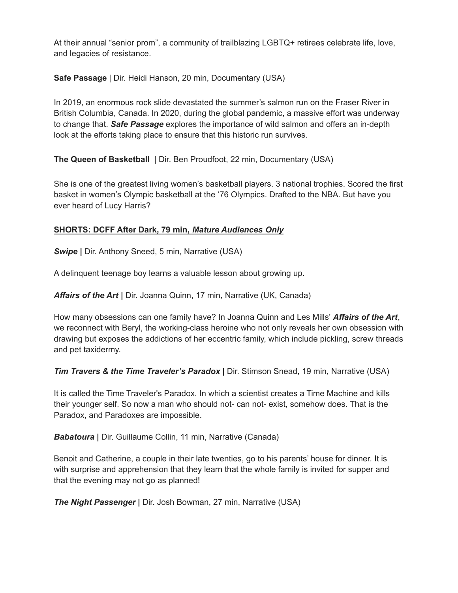At their annual "senior prom", a community of trailblazing LGBTQ+ retirees celebrate life, love, and legacies of resistance.

**Safe Passage** | Dir. Heidi Hanson, 20 min, Documentary (USA)

In 2019, an enormous rock slide devastated the summer's salmon run on the Fraser River in British Columbia, Canada. In 2020, during the global pandemic, a massive effort was underway to change that. *Safe Passage* explores the importance of wild salmon and offers an in-depth look at the efforts taking place to ensure that this historic run survives.

**The Queen of Basketball** | Dir. Ben Proudfoot, 22 min, Documentary (USA)

She is one of the greatest living women's basketball players. 3 national trophies. Scored the first basket in women's Olympic basketball at the '76 Olympics. Drafted to the NBA. But have you ever heard of Lucy Harris?

# **SHORTS: DCFF After Dark, 79 min,** *Mature Audiences Only*

*Swipe* **|** Dir. Anthony Sneed, 5 min, Narrative (USA)

A delinquent teenage boy learns a valuable lesson about growing up.

*Affairs of the Art* **|** Dir. Joanna Quinn, 17 min, Narrative (UK, Canada)

How many obsessions can one family have? In Joanna Quinn and Les Mills' *Affairs of the Art*, we reconnect with Beryl, the working-class heroine who not only reveals her own obsession with drawing but exposes the addictions of her eccentric family, which include pickling, screw threads and pet taxidermy.

*Tim Travers & the Time Traveler's Paradox* **|** Dir. Stimson Snead, 19 min, Narrative (USA)

It is called the Time Traveler's Paradox. In which a scientist creates a Time Machine and kills their younger self. So now a man who should not- can not- exist, somehow does. That is the Paradox, and Paradoxes are impossible.

*Babatoura* **|** Dir. Guillaume Collin, 11 min, Narrative (Canada)

Benoit and Catherine, a couple in their late twenties, go to his parents' house for dinner. It is with surprise and apprehension that they learn that the whole family is invited for supper and that the evening may not go as planned!

*The Night Passenger* **|** Dir. Josh Bowman, 27 min, Narrative (USA)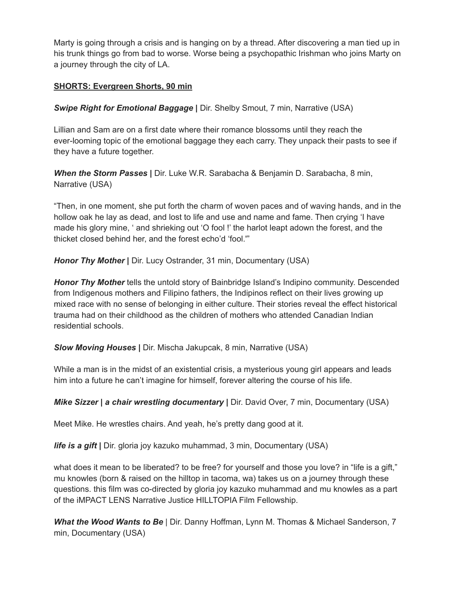Marty is going through a crisis and is hanging on by a thread. After discovering a man tied up in his trunk things go from bad to worse. Worse being a psychopathic Irishman who joins Marty on a journey through the city of LA.

## **SHORTS: Evergreen Shorts, 90 min**

*Swipe Right for [Emotional](https://www.destinycityfilmfestival.com/film/swipe-right-for-emotional-baggage/) Baggage* **|** Dir. Shelby Smout, 7 min, Narrative (USA)

Lillian and Sam are on a first date where their romance blossoms until they reach the ever-looming topic of the emotional baggage they each carry. They unpack their pasts to see if they have a future together.

*When the Storm [Passes](https://www.destinycityfilmfestival.com/film/when-the-storm-passes/)* **|** Dir. Luke W.R. Sarabacha & Benjamin D. Sarabacha, 8 min, Narrative (USA)

"Then, in one moment, she put forth the charm of woven paces and of waving hands, and in the hollow oak he lay as dead, and lost to life and use and name and fame. Then crying 'I have made his glory mine, ' and shrieking out 'O fool !' the harlot leapt adown the forest, and the thicket closed behind her, and the forest echo'd 'fool.'"

*Honor Thy [Mother](https://www.destinycityfilmfestival.com/film/honor-thy-mother/)* **|** Dir. Lucy Ostrander, 31 min, Documentary (USA)

*Honor Thy Mother* tells the untold story of Bainbridge Island's Indipino community. Descended from Indigenous mothers and Filipino fathers, the Indipinos reflect on their lives growing up mixed race with no sense of belonging in either culture. Their stories reveal the effect historical trauma had on their childhood as the children of mothers who attended Canadian Indian residential schools.

*Slow Moving [Houses](https://www.destinycityfilmfestival.com/film/slow-moving-houses/)* **|** Dir. Mischa Jakupcak, 8 min, Narrative (USA)

While a man is in the midst of an existential crisis, a mysterious young girl appears and leads him into a future he can't imagine for himself, forever altering the course of his life.

*Mike Sizzer | a chair wrestling [documentary](https://www.destinycityfilmfestival.com/film/mike-sizzer-a-chair-wrestling-documentary/)* **|** Dir. David Over, 7 min, Documentary (USA)

Meet Mike. He wrestles chairs. And yeah, he's pretty dang good at it.

*life is a [gift](https://www.destinycityfilmfestival.com/film/life-is-a-gift/)* **|** Dir. gloria joy kazuko muhammad, 3 min, Documentary (USA)

what does it mean to be liberated? to be free? for yourself and those you love? in "life is a gift," mu knowles (born & raised on the hilltop in tacoma, wa) takes us on a journey through these questions. this film was co-directed by gloria joy kazuko muhammad and mu knowles as a part of the iMPACT LENS Narrative Justice HILLTOPIA Film Fellowship.

*What the Wood [Wants](https://www.destinycityfilmfestival.com/film/what-the-wood-wants-to-be/) to Be* | Dir. Danny Hoffman, Lynn M. Thomas & Michael Sanderson, 7 min, Documentary (USA)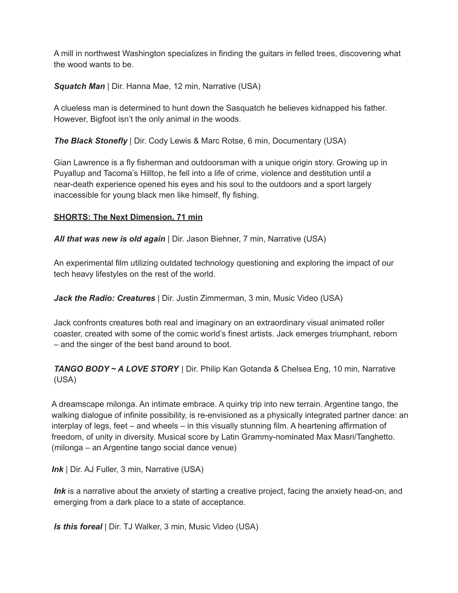A mill in northwest Washington specializes in finding the guitars in felled trees, discovering what the wood wants to be.

*[Squatch](https://www.destinycityfilmfestival.com/film/squatch-man/) Man* | Dir. Hanna Mae, 12 min, Narrative (USA)

A clueless man is determined to hunt down the Sasquatch he believes kidnapped his father. However, Bigfoot isn't the only animal in the woods.

*The Black [Stonefly](https://www.destinycityfilmfestival.com/film/the-black-stonefly/)* | Dir. Cody Lewis & Marc Rotse, 6 min, Documentary (USA)

Gian Lawrence is a fly fisherman and outdoorsman with a unique origin story. Growing up in Puyallup and Tacoma's Hilltop, he fell into a life of crime, violence and destitution until a near-death experience opened his eyes and his soul to the outdoors and a sport largely inaccessible for young black men like himself, fly fishing.

#### **SHORTS: The Next Dimension, 71 min**

*All that was new is old again* | Dir. Jason Biehner, 7 min, Narrative (USA)

An experimental film utilizing outdated technology questioning and exploring the impact of our tech heavy lifestyles on the rest of the world.

*Jack the Radio: Creatures* | Dir. Justin Zimmerman, 3 min, Music Video (USA)

Jack confronts creatures both real and imaginary on an extraordinary visual animated roller coaster, created with some of the comic world's finest artists. Jack emerges triumphant, reborn – and the singer of the best band around to boot.

*TANGO BODY ~ A LOVE STORY* | Dir. Philip Kan Gotanda & Chelsea Eng, 10 min, Narrative (USA)

A dreamscape milonga. An intimate embrace. A quirky trip into new terrain. Argentine tango, the walking dialogue of infinite possibility, is re-envisioned as a physically integrated partner dance: an interplay of legs, feet – and wheels – in this visually stunning film. A heartening affirmation of freedom, of unity in diversity. Musical score by Latin Grammy-nominated Max Masri/Tanghetto. (milonga – an Argentine tango social dance venue)

*Ink* | Dir. AJ Fuller, 3 min, Narrative (USA)

*Ink* is a narrative about the anxiety of starting a creative project, facing the anxiety head-on, and emerging from a dark place to a state of acceptance.

*Is this foreal* | Dir. TJ Walker, 3 min, Music Video (USA)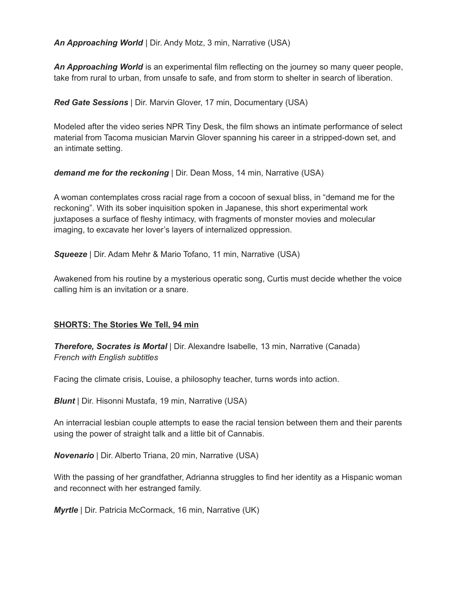*An Approaching World* | Dir. Andy Motz, 3 min, Narrative (USA)

*An Approaching World* is an experimental film reflecting on the journey so many queer people, take from rural to urban, from unsafe to safe, and from storm to shelter in search of liberation.

*Red Gate Sessions* | Dir. Marvin Glover, 17 min, Documentary (USA)

Modeled after the video series NPR Tiny Desk, the film shows an intimate performance of select material from Tacoma musician Marvin Glover spanning his career in a stripped-down set, and an intimate setting.

*demand me for the reckoning* | Dir. Dean Moss, 14 min, Narrative (USA)

A woman contemplates cross racial rage from a cocoon of sexual bliss, in "demand me for the reckoning". With its sober inquisition spoken in Japanese, this short experimental work juxtaposes a surface of fleshy intimacy, with fragments of monster movies and molecular imaging, to excavate her lover's layers of internalized oppression.

*Squeeze* | Dir. Adam Mehr & Mario Tofano, 11 min, Narrative (USA)

Awakened from his routine by a mysterious operatic song, Curtis must decide whether the voice calling him is an invitation or a snare.

## **SHORTS: The Stories We Tell, 94 min**

*[Therefore,](https://www.destinycityfilmfestival.com/film/therefore-socrates-is-mortal/) Socrates is Mortal* | Dir. Alexandre Isabelle, 13 min, Narrative (Canada) *French with English subtitles*

Facing the climate crisis, Louise, a philosophy teacher, turns words into action.

*[Blunt](https://www.destinycityfilmfestival.com/film/blunt/)* | Dir. Hisonni Mustafa, 19 min, Narrative (USA)

An interracial lesbian couple attempts to ease the racial tension between them and their parents using the power of straight talk and a little bit of Cannabis.

*[Novenario](https://www.destinycityfilmfestival.com/film/novenario/)* | Dir. Alberto Triana, 20 min, Narrative (USA)

With the passing of her grandfather, Adrianna struggles to find her identity as a Hispanic woman and reconnect with her estranged family.

*[Myrtle](https://www.destinycityfilmfestival.com/film/myrtle/)* | Dir. Patricia McCormack, 16 min, Narrative (UK)